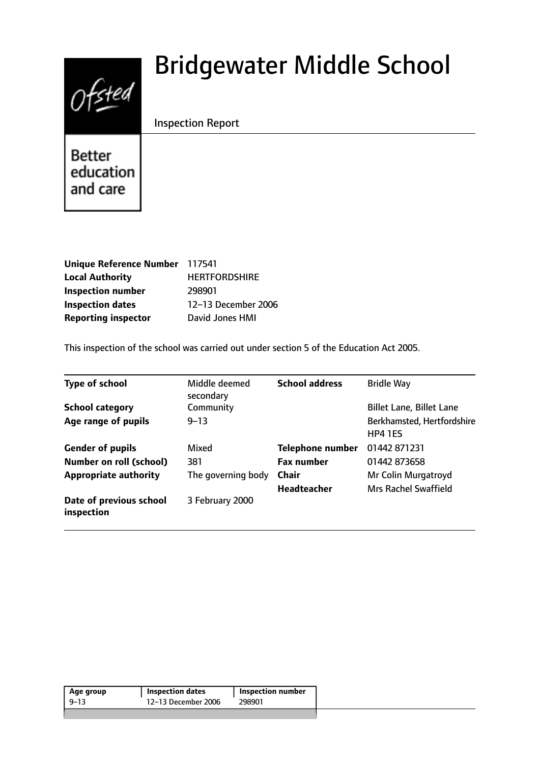# $0$ fsted

# Bridgewater Middle School

Inspection Report

**Better** education and care

| Unique Reference Number 117541 |                      |
|--------------------------------|----------------------|
| <b>Local Authority</b>         | <b>HERTFORDSHIRE</b> |
| <b>Inspection number</b>       | 298901               |
| <b>Inspection dates</b>        | 12-13 December 2006  |
| <b>Reporting inspector</b>     | David Jones HMI      |

This inspection of the school was carried out under section 5 of the Education Act 2005.

| <b>Type of school</b>                 | Middle deemed<br>secondary | <b>School address</b>   | <b>Bridle Way</b>                           |
|---------------------------------------|----------------------------|-------------------------|---------------------------------------------|
| <b>School category</b>                | Community                  |                         | <b>Billet Lane, Billet Lane</b>             |
| Age range of pupils                   | $9 - 13$                   |                         | Berkhamsted, Hertfordshire<br>HP4 1ES       |
| <b>Gender of pupils</b>               | Mixed                      | <b>Telephone number</b> | 01442871231                                 |
| <b>Number on roll (school)</b>        | 381                        | <b>Fax number</b>       | 01442 873658                                |
| <b>Appropriate authority</b>          | The governing body         | Chair<br>Headteacher    | Mr Colin Murgatroyd<br>Mrs Rachel Swaffield |
| Date of previous school<br>inspection | 3 February 2000            |                         |                                             |

| Age group | <b>Inspection dates</b> | Inspection number |
|-----------|-------------------------|-------------------|
| -9–13     | 12-13 December 2006     | 298901            |
|           |                         |                   |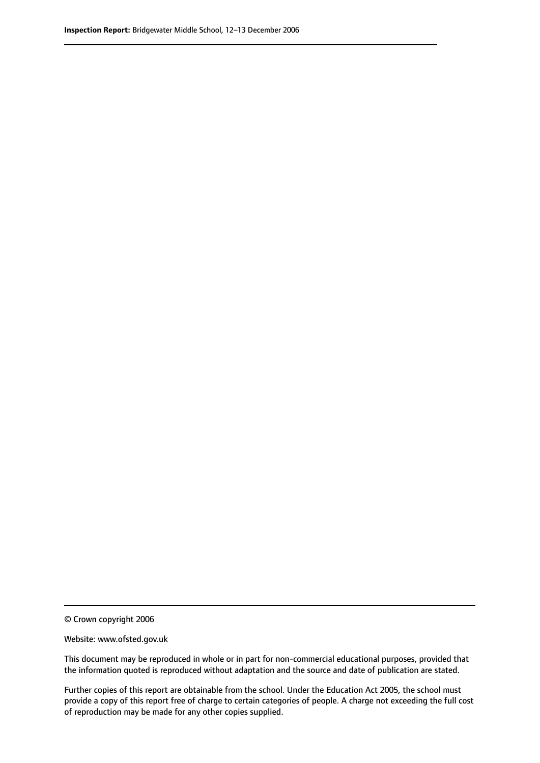© Crown copyright 2006

Website: www.ofsted.gov.uk

This document may be reproduced in whole or in part for non-commercial educational purposes, provided that the information quoted is reproduced without adaptation and the source and date of publication are stated.

Further copies of this report are obtainable from the school. Under the Education Act 2005, the school must provide a copy of this report free of charge to certain categories of people. A charge not exceeding the full cost of reproduction may be made for any other copies supplied.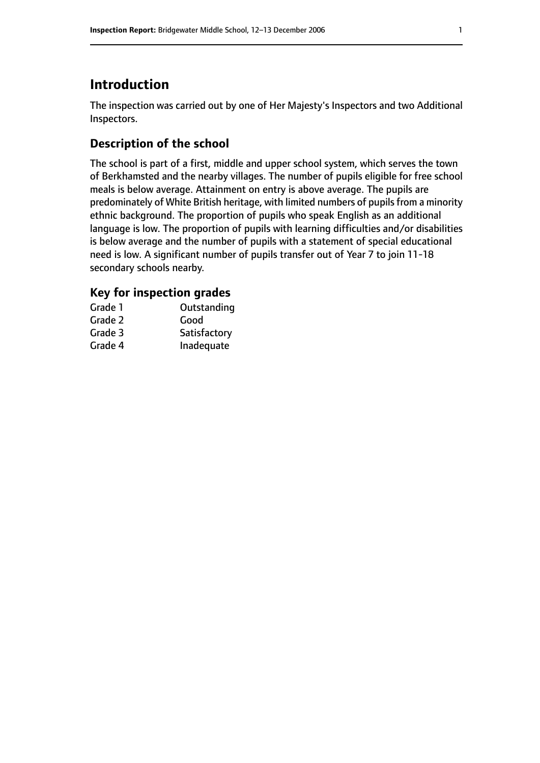# **Introduction**

The inspection was carried out by one of Her Majesty's Inspectors and two Additional Inspectors.

# **Description of the school**

The school is part of a first, middle and upper school system, which serves the town of Berkhamsted and the nearby villages. The number of pupils eligible for free school meals is below average. Attainment on entry is above average. The pupils are predominately of White British heritage, with limited numbers of pupils from a minority ethnic background. The proportion of pupils who speak English as an additional language is low. The proportion of pupils with learning difficulties and/or disabilities is below average and the number of pupils with a statement of special educational need is low. A significant number of pupils transfer out of Year 7 to join 11-18 secondary schools nearby.

#### **Key for inspection grades**

| Grade 1 | Outstanding  |
|---------|--------------|
| Grade 2 | Good         |
| Grade 3 | Satisfactory |
| Grade 4 | Inadequate   |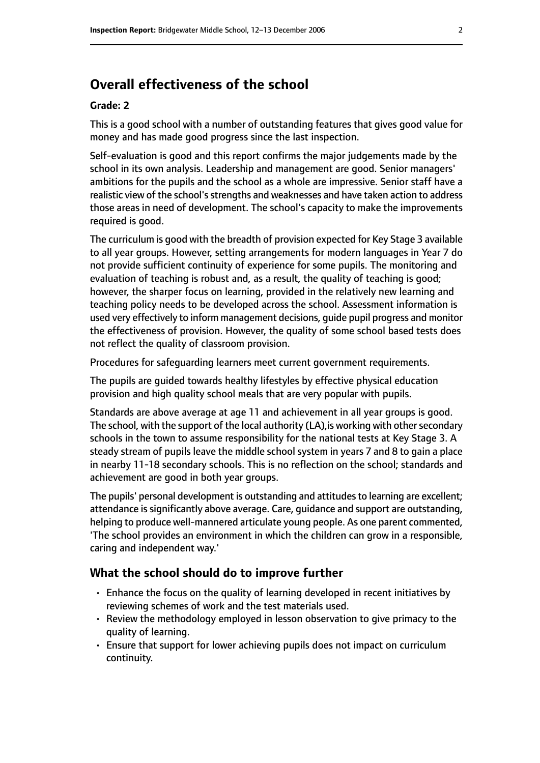# **Overall effectiveness of the school**

#### **Grade: 2**

This is a good school with a number of outstanding features that gives good value for money and has made good progress since the last inspection.

Self-evaluation is good and this report confirms the major judgements made by the school in its own analysis. Leadership and management are good. Senior managers' ambitions for the pupils and the school as a whole are impressive. Senior staff have a realistic view of the school's strengths and weaknesses and have taken action to address those areas in need of development. The school's capacity to make the improvements required is good.

The curriculum is good with the breadth of provision expected for Key Stage 3 available to all year groups. However, setting arrangements for modern languages in Year 7 do not provide sufficient continuity of experience for some pupils. The monitoring and evaluation of teaching is robust and, as a result, the quality of teaching is good; however, the sharper focus on learning, provided in the relatively new learning and teaching policy needs to be developed across the school. Assessment information is used very effectively to inform management decisions, guide pupil progress and monitor the effectiveness of provision. However, the quality of some school based tests does not reflect the quality of classroom provision.

Procedures for safeguarding learners meet current government requirements.

The pupils are guided towards healthy lifestyles by effective physical education provision and high quality school meals that are very popular with pupils.

Standards are above average at age 11 and achievement in all year groups is good. The school, with the support of the local authority (LA), is working with other secondary schools in the town to assume responsibility for the national tests at Key Stage 3. A steady stream of pupils leave the middle school system in years 7 and 8 to gain a place in nearby 11-18 secondary schools. This is no reflection on the school; standards and achievement are good in both year groups.

The pupils' personal development is outstanding and attitudes to learning are excellent; attendance is significantly above average. Care, guidance and support are outstanding, helping to produce well-mannered articulate young people. As one parent commented, 'The school provides an environment in which the children can grow in a responsible, caring and independent way.'

#### **What the school should do to improve further**

- Enhance the focus on the quality of learning developed in recent initiatives by reviewing schemes of work and the test materials used.
- Review the methodology employed in lesson observation to give primacy to the quality of learning.
- Ensure that support for lower achieving pupils does not impact on curriculum continuity.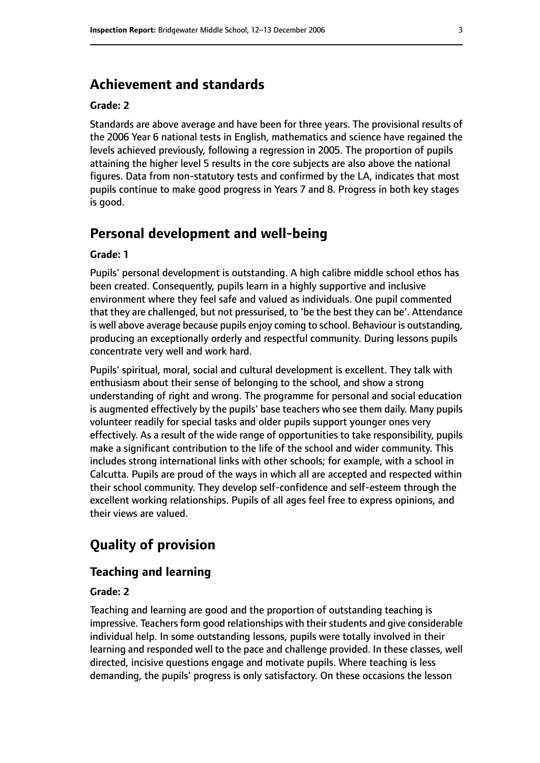# **Achievement and standards**

#### **Grade: 2**

Standards are above average and have been for three years. The provisional results of the 2006 Year 6 national tests in English, mathematics and science have regained the levels achieved previously, following a regression in 2005. The proportion of pupils attaining the higher level 5 results in the core subjects are also above the national figures. Data from non-statutory tests and confirmed by the LA, indicates that most pupils continue to make good progress in Years 7 and 8. Progress in both key stages is good.

# **Personal development and well-being**

#### **Grade: 1**

Pupils' personal development is outstanding. A high calibre middle school ethos has been created. Consequently, pupils learn in a highly supportive and inclusive environment where they feel safe and valued as individuals. One pupil commented that they are challenged, but not pressurised, to 'be the best they can be'. Attendance is well above average because pupils enjoy coming to school. Behaviour is outstanding, producing an exceptionally orderly and respectful community. During lessons pupils concentrate very well and work hard.

Pupils' spiritual, moral, social and cultural development is excellent. They talk with enthusiasm about their sense of belonging to the school, and show a strong understanding of right and wrong. The programme for personal and social education is augmented effectively by the pupils' base teachers who see them daily. Many pupils volunteer readily for special tasks and older pupils support younger ones very effectively. As a result of the wide range of opportunities to take responsibility, pupils make a significant contribution to the life of the school and wider community. This includes strong international links with other schools; for example, with a school in Calcutta. Pupils are proud of the ways in which all are accepted and respected within their school community. They develop self-confidence and self-esteem through the excellent working relationships. Pupils of all ages feel free to express opinions, and their views are valued.

# **Quality of provision**

#### **Teaching and learning**

#### **Grade: 2**

Teaching and learning are good and the proportion of outstanding teaching is impressive. Teachers form good relationships with their students and give considerable individual help. In some outstanding lessons, pupils were totally involved in their learning and responded well to the pace and challenge provided. In these classes, well directed, incisive questions engage and motivate pupils. Where teaching is less demanding, the pupils' progress is only satisfactory. On these occasions the lesson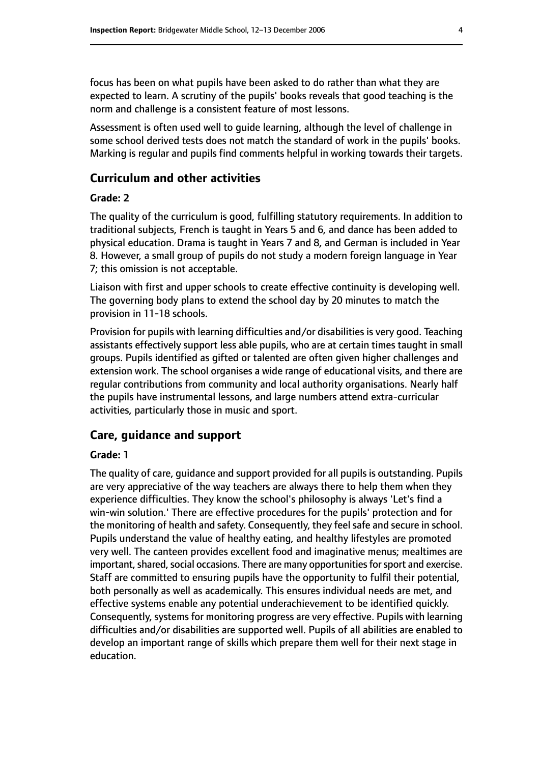focus has been on what pupils have been asked to do rather than what they are expected to learn. A scrutiny of the pupils' books reveals that good teaching is the norm and challenge is a consistent feature of most lessons.

Assessment is often used well to guide learning, although the level of challenge in some school derived tests does not match the standard of work in the pupils' books. Marking is regular and pupils find comments helpful in working towards their targets.

#### **Curriculum and other activities**

#### **Grade: 2**

The quality of the curriculum is good, fulfilling statutory requirements. In addition to traditional subjects, French is taught in Years 5 and 6, and dance has been added to physical education. Drama is taught in Years 7 and 8, and German is included in Year 8. However, a small group of pupils do not study a modern foreign language in Year 7; this omission is not acceptable.

Liaison with first and upper schools to create effective continuity is developing well. The governing body plans to extend the school day by 20 minutes to match the provision in 11-18 schools.

Provision for pupils with learning difficulties and/or disabilities is very good. Teaching assistants effectively support less able pupils, who are at certain times taught in small groups. Pupils identified as gifted or talented are often given higher challenges and extension work. The school organises a wide range of educational visits, and there are regular contributions from community and local authority organisations. Nearly half the pupils have instrumental lessons, and large numbers attend extra-curricular activities, particularly those in music and sport.

#### **Care, guidance and support**

#### **Grade: 1**

The quality of care, guidance and support provided for all pupils is outstanding. Pupils are very appreciative of the way teachers are always there to help them when they experience difficulties. They know the school's philosophy is always 'Let's find a win-win solution.' There are effective procedures for the pupils' protection and for the monitoring of health and safety. Consequently, they feel safe and secure in school. Pupils understand the value of healthy eating, and healthy lifestyles are promoted very well. The canteen provides excellent food and imaginative menus; mealtimes are important, shared, social occasions. There are many opportunities for sport and exercise. Staff are committed to ensuring pupils have the opportunity to fulfil their potential, both personally as well as academically. This ensures individual needs are met, and effective systems enable any potential underachievement to be identified quickly. Consequently, systems for monitoring progress are very effective. Pupils with learning difficulties and/or disabilities are supported well. Pupils of all abilities are enabled to develop an important range of skills which prepare them well for their next stage in education.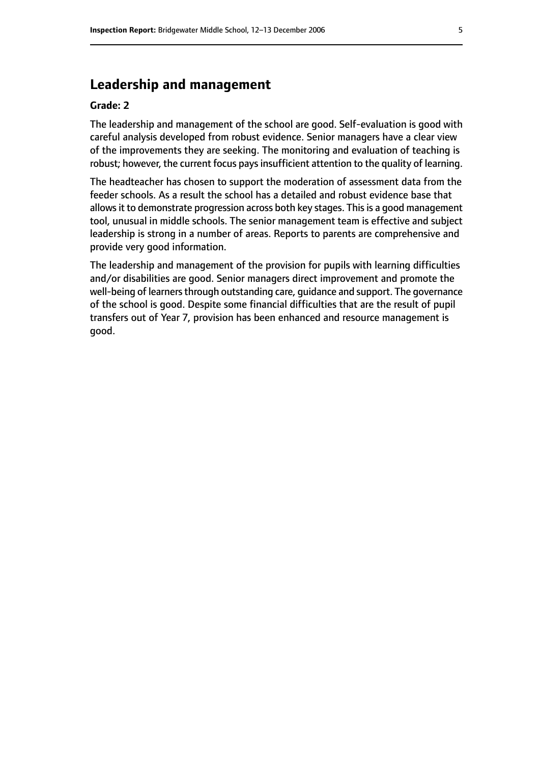# **Leadership and management**

#### **Grade: 2**

The leadership and management of the school are good. Self-evaluation is good with careful analysis developed from robust evidence. Senior managers have a clear view of the improvements they are seeking. The monitoring and evaluation of teaching is robust; however, the current focus pays insufficient attention to the quality of learning.

The headteacher has chosen to support the moderation of assessment data from the feeder schools. As a result the school has a detailed and robust evidence base that allows it to demonstrate progression across both key stages. This is a good management tool, unusual in middle schools. The senior management team is effective and subject leadership is strong in a number of areas. Reports to parents are comprehensive and provide very good information.

The leadership and management of the provision for pupils with learning difficulties and/or disabilities are good. Senior managers direct improvement and promote the well-being of learners through outstanding care, guidance and support. The governance of the school is good. Despite some financial difficulties that are the result of pupil transfers out of Year 7, provision has been enhanced and resource management is good.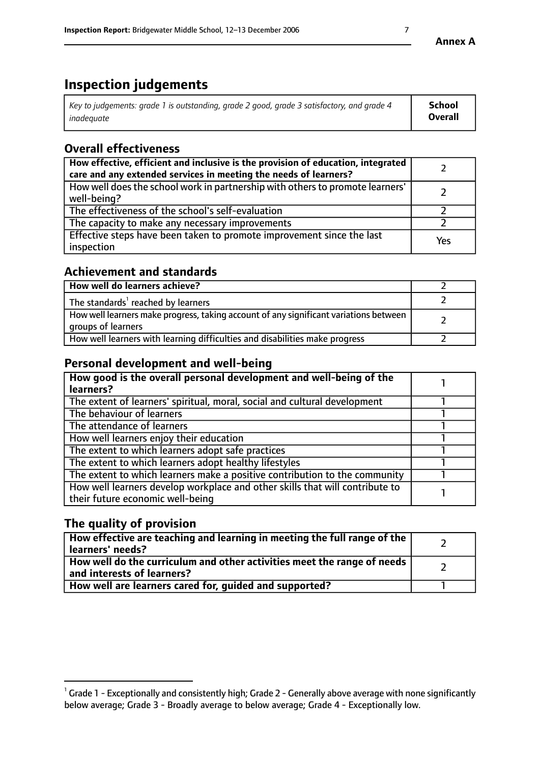# **Inspection judgements**

| Key to judgements: grade 1 is outstanding, grade 2 good, grade 3 satisfactory, and grade 4 | <b>School</b>  |
|--------------------------------------------------------------------------------------------|----------------|
| inadeauate                                                                                 | <b>Overall</b> |

# **Overall effectiveness**

| How effective, efficient and inclusive is the provision of education, integrated<br>care and any extended services in meeting the needs of learners? |     |
|------------------------------------------------------------------------------------------------------------------------------------------------------|-----|
| How well does the school work in partnership with others to promote learners'<br>well-being?                                                         |     |
| The effectiveness of the school's self-evaluation                                                                                                    |     |
| The capacity to make any necessary improvements                                                                                                      |     |
| Effective steps have been taken to promote improvement since the last<br>inspection                                                                  | Yes |

### **Achievement and standards**

| How well do learners achieve?                                                                               |  |
|-------------------------------------------------------------------------------------------------------------|--|
| The standards <sup>1</sup> reached by learners                                                              |  |
| How well learners make progress, taking account of any significant variations between<br>groups of learners |  |
| How well learners with learning difficulties and disabilities make progress                                 |  |

# **Personal development and well-being**

| How good is the overall personal development and well-being of the<br>learners?                                  |  |
|------------------------------------------------------------------------------------------------------------------|--|
| The extent of learners' spiritual, moral, social and cultural development                                        |  |
| The behaviour of learners                                                                                        |  |
| The attendance of learners                                                                                       |  |
| How well learners enjoy their education                                                                          |  |
| The extent to which learners adopt safe practices                                                                |  |
| The extent to which learners adopt healthy lifestyles                                                            |  |
| The extent to which learners make a positive contribution to the community                                       |  |
| How well learners develop workplace and other skills that will contribute to<br>their future economic well-being |  |

# **The quality of provision**

| How effective are teaching and learning in meeting the full range of the<br>learners' needs?                        |  |
|---------------------------------------------------------------------------------------------------------------------|--|
| $\mid$ How well do the curriculum and other activities meet the range of needs $\mid$<br>and interests of learners? |  |
| How well are learners cared for, quided and supported?                                                              |  |

 $^1$  Grade 1 - Exceptionally and consistently high; Grade 2 - Generally above average with none significantly below average; Grade 3 - Broadly average to below average; Grade 4 - Exceptionally low.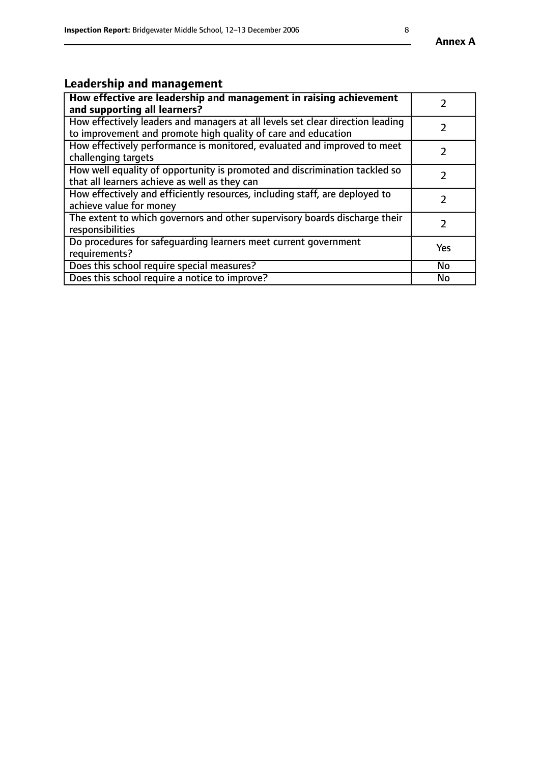# **Leadership and management**

| How effective are leadership and management in raising achievement<br>and supporting all learners?                                              |               |
|-------------------------------------------------------------------------------------------------------------------------------------------------|---------------|
| How effectively leaders and managers at all levels set clear direction leading<br>to improvement and promote high quality of care and education |               |
| How effectively performance is monitored, evaluated and improved to meet<br>challenging targets                                                 | $\mathcal{L}$ |
| How well equality of opportunity is promoted and discrimination tackled so<br>that all learners achieve as well as they can                     |               |
| How effectively and efficiently resources, including staff, are deployed to<br>achieve value for money                                          | $\mathcal{P}$ |
| The extent to which governors and other supervisory boards discharge their<br>responsibilities                                                  |               |
| Do procedures for safequarding learners meet current government<br>requirements?                                                                | Yes           |
| Does this school require special measures?                                                                                                      | No            |
| Does this school require a notice to improve?                                                                                                   | <b>No</b>     |